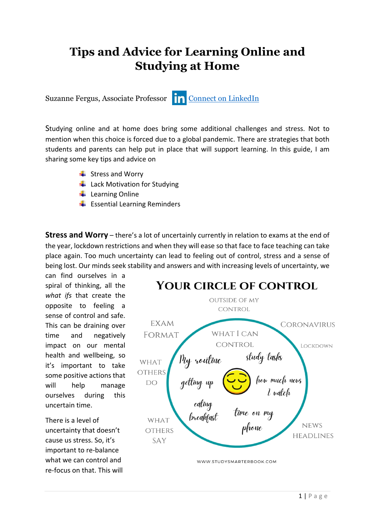## **Tips and Advice for Learning Online and Studying at Home**

Suzanne Fergus, Associate Professor **[Connect on LinkedIn](https://www.linkedin.com/in/suzanne-fergus-23344b55/)** 

Studying online and at home does bring some additional challenges and stress. Not to mention when this choice is forced due to a global pandemic. There are strategies that both students and parents can help put in place that will support learning. In this guide, I am sharing some key tips and advice on

- $\frac{1}{2}$  Stress and Worry
- $\downarrow$  Lack Motivation for Studying
- $\downarrow$  Learning Online
- $\bigstar$  Essential Learning Reminders

**Stress and Worry** – there's a lot of uncertainly currently in relation to exams at the end of the year, lockdown restrictions and when they will ease so that face to face teaching can take place again. Too much uncertainty can lead to feeling out of control, stress and a sense of being lost. Our minds seek stability and answers and with increasing levels of uncertainty, we

can find ourselves in a spiral of thinking, all the *what ifs* that create the opposite to feeling a sense of control and safe. This can be draining over time and negatively impact on our mental health and wellbeing, so it's important to take some positive actions that will help manage ourselves during this uncertain time.

There is a level of uncertainty that doesn't cause us stress. So, it's important to re-balance what we can control and re-focus on that. This will

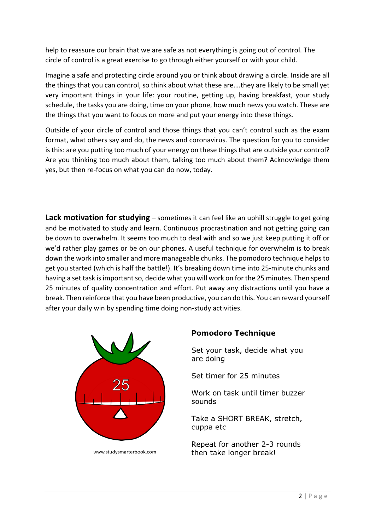help to reassure our brain that we are safe as not everything is going out of control. The circle of control is a great exercise to go through either yourself or with your child.

Imagine a safe and protecting circle around you or think about drawing a circle. Inside are all the things that you can control, so think about what these are….they are likely to be small yet very important things in your life: your routine, getting up, having breakfast, your study schedule, the tasks you are doing, time on your phone, how much news you watch. These are the things that you want to focus on more and put your energy into these things.

Outside of your circle of control and those things that you can't control such as the exam format, what others say and do, the news and coronavirus. The question for you to consider is this: are you putting too much of your energy on these things that are outside your control? Are you thinking too much about them, talking too much about them? Acknowledge them yes, but then re-focus on what you can do now, today.

**Lack motivation for studying** – sometimes it can feel like an uphill struggle to get going and be motivated to study and learn. Continuous procrastination and not getting going can be down to overwhelm. It seems too much to deal with and so we just keep putting it off or we'd rather play games or be on our phones. A useful technique for overwhelm is to break down the work into smaller and more manageable chunks. The pomodoro technique helps to get you started (which is half the battle!). It's breaking down time into 25-minute chunks and having a set task is important so, decide what you will work on for the 25 minutes. Then spend 25 minutes of quality concentration and effort. Put away any distractions until you have a break. Then reinforce that you have been productive, you can do this. You can reward yourself after your daily win by spending time doing non-study activities.



www.studvsmarterbook.com

## **Pomodoro Technique**

Set your task, decide what you are doing

Set timer for 25 minutes

Work on task until timer buzzer sounds

Take a SHORT BREAK, stretch, cuppa etc

Repeat for another 2-3 rounds then take longer break!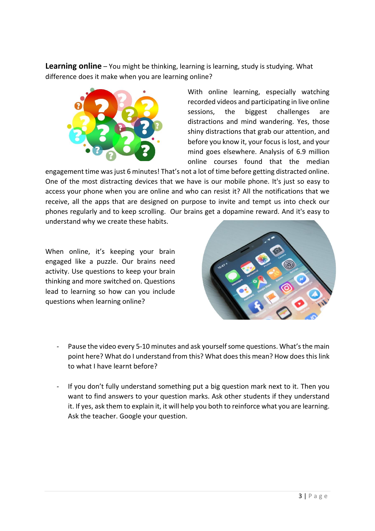**Learning online** – You might be thinking, learning is learning, study is studying. What difference does it make when you are learning online?



With online learning, especially watching recorded videos and participating in live online sessions, the biggest challenges are distractions and mind wandering. Yes, those shiny distractions that grab our attention, and before you know it, your focus is lost, and your mind goes elsewhere. Analysis of 6.9 million online courses found that the median

engagement time was just 6 minutes! That's not a lot of time before getting distracted online. One of the most distracting devices that we have is our mobile phone. It's just so easy to access your phone when you are online and who can resist it? All the notifications that we receive, all the apps that are designed on purpose to invite and tempt us into check our phones regularly and to keep scrolling. Our brains get a dopamine reward. And it's easy to understand why we create these habits.

When online, it's keeping your brain engaged like a puzzle. Our brains need activity. Use questions to keep your brain thinking and more switched on. Questions lead to learning so how can you include questions when learning online?



- Pause the video every 5-10 minutes and ask yourself some questions. What's the main point here? What do I understand from this? What does this mean? How does this link to what I have learnt before?
- If you don't fully understand something put a big question mark next to it. Then you want to find answers to your question marks. Ask other students if they understand it. If yes, ask them to explain it, it will help you both to reinforce what you are learning. Ask the teacher. Google your question.